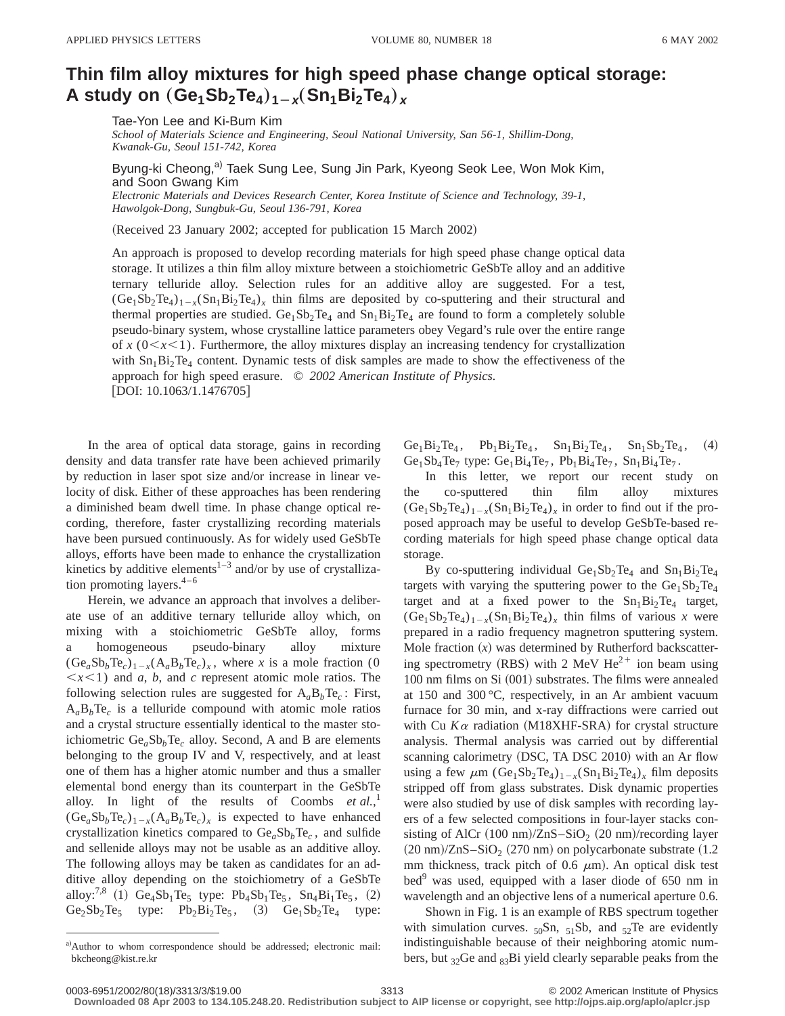## **Thin film alloy mixtures for high speed phase change optical storage: A** study on  $(Ge_1Sb_2Te_4)_{1-x}(Sn_1Bi_2Te_4)_x$

Tae-Yon Lee and Ki-Bum Kim

*School of Materials Science and Engineering, Seoul National University, San 56-1, Shillim-Dong, Kwanak-Gu, Seoul 151-742, Korea*

Byung-ki Cheong,<sup>a)</sup> Taek Sung Lee, Sung Jin Park, Kyeong Seok Lee, Won Mok Kim, and Soon Gwang Kim

*Electronic Materials and Devices Research Center, Korea Institute of Science and Technology, 39-1, Hawolgok-Dong, Sungbuk-Gu, Seoul 136-791, Korea*

(Received 23 January 2002; accepted for publication 15 March 2002)

An approach is proposed to develop recording materials for high speed phase change optical data storage. It utilizes a thin film alloy mixture between a stoichiometric GeSbTe alloy and an additive ternary telluride alloy. Selection rules for an additive alloy are suggested. For a test,  $(Ge_1Sb_2Te_4)_{1-x}(Sn_1Bi_2Te_4)_{x}$  thin films are deposited by co-sputtering and their structural and thermal properties are studied.  $Ge_1Sb_2Te_4$  and  $Sn_1Bi_2Te_4$  are found to form a completely soluble pseudo-binary system, whose crystalline lattice parameters obey Vegard's rule over the entire range of  $x (0 \le x \le 1)$ . Furthermore, the alloy mixtures display an increasing tendency for crystallization with  $Sn_1Bi_2Te_4$  content. Dynamic tests of disk samples are made to show the effectiveness of the approach for high speed erasure. © *2002 American Institute of Physics.*  $[DOI: 10.1063/1.1476705]$ 

In the area of optical data storage, gains in recording density and data transfer rate have been achieved primarily by reduction in laser spot size and/or increase in linear velocity of disk. Either of these approaches has been rendering a diminished beam dwell time. In phase change optical recording, therefore, faster crystallizing recording materials have been pursued continuously. As for widely used GeSbTe alloys, efforts have been made to enhance the crystallization kinetics by additive elements<sup>1-3</sup> and/or by use of crystallization promoting layers. $4-6$ 

Herein, we advance an approach that involves a deliberate use of an additive ternary telluride alloy which, on mixing with a stoichiometric GeSbTe alloy, forms homogeneous pseudo-binary alloy mixture  $(Ge_aSb_bTe_c)_{1-x}(A_aB_bTe_c)_x$ , where *x* is a mole fraction (0  $\langle x \rangle$  and *a*, *b*, and *c* represent atomic mole ratios. The following selection rules are suggested for  $A_a B_b T e_c$ : First,  $A_a B_b T_{e_c}$  is a telluride compound with atomic mole ratios and a crystal structure essentially identical to the master stoichiometric  $Ge_aSb_bTe_c$  alloy. Second, A and B are elements belonging to the group IV and V, respectively, and at least one of them has a higher atomic number and thus a smaller elemental bond energy than its counterpart in the GeSbTe alloy. In light of the results of Coombs *et al.*, 1  $(Ge_aSb_bTe_c)_{1-x}(A_aB_bTe_c)_x$  is expected to have enhanced crystallization kinetics compared to  $Ge_aSb_bTe_c$ , and sulfide and sellenide alloys may not be usable as an additive alloy. The following alloys may be taken as candidates for an additive alloy depending on the stoichiometry of a GeSbTe alloy:<sup>7,8</sup> (1)  $Ge_4Sb_1Te_5$  type:  $Pb_4Sb_1Te_5$ ,  $Sn_4Bi_1Te_5$ , (2)  $Ge_2Sb_2Te_5$  type:  $Pb_2Bi_2Te_5$ , (3)  $Ge_1Sb_2Te_4$  type:  $Ge_1Bi_2Te_4$ ,  $Pb_1Bi_2Te_4$ ,  $Sn_1Bi_2Te_4$ ,  $Sn_1Sb_2Te_4$ , (4)  $Ge_1Sb_4Te_7$  type:  $Ge_1Bi_4Te_7$ ,  $Pb_1Bi_4Te_7$ ,  $Sn_1Bi_4Te_7$ .

In this letter, we report our recent study on the co-sputtered thin film alloy mixtures  $(Ge_1Sb_2Te_4)_{1-x}(Sn_1Bi_2Te_4)_x$  in order to find out if the proposed approach may be useful to develop GeSbTe-based recording materials for high speed phase change optical data storage.

By co-sputtering individual  $Ge_1Sb_2Te_4$  and  $Sn_1Bi_2Te_4$ targets with varying the sputtering power to the  $Ge_1Sb_2Te_4$ target and at a fixed power to the  $Sn_1Bi_2Te_4$  target,  $(Ge_1Sb_2Te_4)_{1-x}(Sn_1Bi_2Te_4)_x$  thin films of various x were prepared in a radio frequency magnetron sputtering system. Mole fraction  $(x)$  was determined by Rutherford backscattering spectrometry (RBS) with 2 MeV  $He^{2+}$  ion beam using  $100$  nm films on Si  $(001)$  substrates. The films were annealed at 150 and 300 °C, respectively, in an Ar ambient vacuum furnace for 30 min, and x-ray diffractions were carried out with Cu  $K\alpha$  radiation (M18XHF-SRA) for crystal structure analysis. Thermal analysis was carried out by differential scanning calorimetry (DSC, TA DSC 2010) with an Ar flow using a few  $\mu$ m (Ge<sub>1</sub>Sb<sub>2</sub>Te<sub>4</sub>)<sub>1-*x*</sub>(Sn<sub>1</sub>Bi<sub>2</sub>Te<sub>4</sub>)<sub>*x*</sub> film deposits stripped off from glass substrates. Disk dynamic properties were also studied by use of disk samples with recording layers of a few selected compositions in four-layer stacks consisting of AlCr  $(100 ~\text{nm})$ /ZnS–SiO<sub>2</sub>  $(20 ~\text{nm})$ /recording layer  $(20~\text{nm})$ /ZnS–SiO<sub>2</sub>  $(270~\text{nm})$  on polycarbonate substrate  $(1.2~\text{nm})$ mm thickness, track pitch of 0.6  $\mu$ m). An optical disk test  $bed<sup>9</sup>$  was used, equipped with a laser diode of 650 nm in wavelength and an objective lens of a numerical aperture 0.6.

Shown in Fig. 1 is an example of RBS spectrum together with simulation curves.  $_{50}Sn, 51}Sb,$  and  $_{52}Te$  are evidently indistinguishable because of their neighboring atomic numbers, but  $_{32}$ Ge and  $_{83}$ Bi yield clearly separable peaks from the

a)Author to whom correspondence should be addressed; electronic mail: bkcheong@kist.re.kr

<sup>0003-6951/2002/80(18)/3313/3/\$19.00 © 2002</sup> American Institute of Physics 3313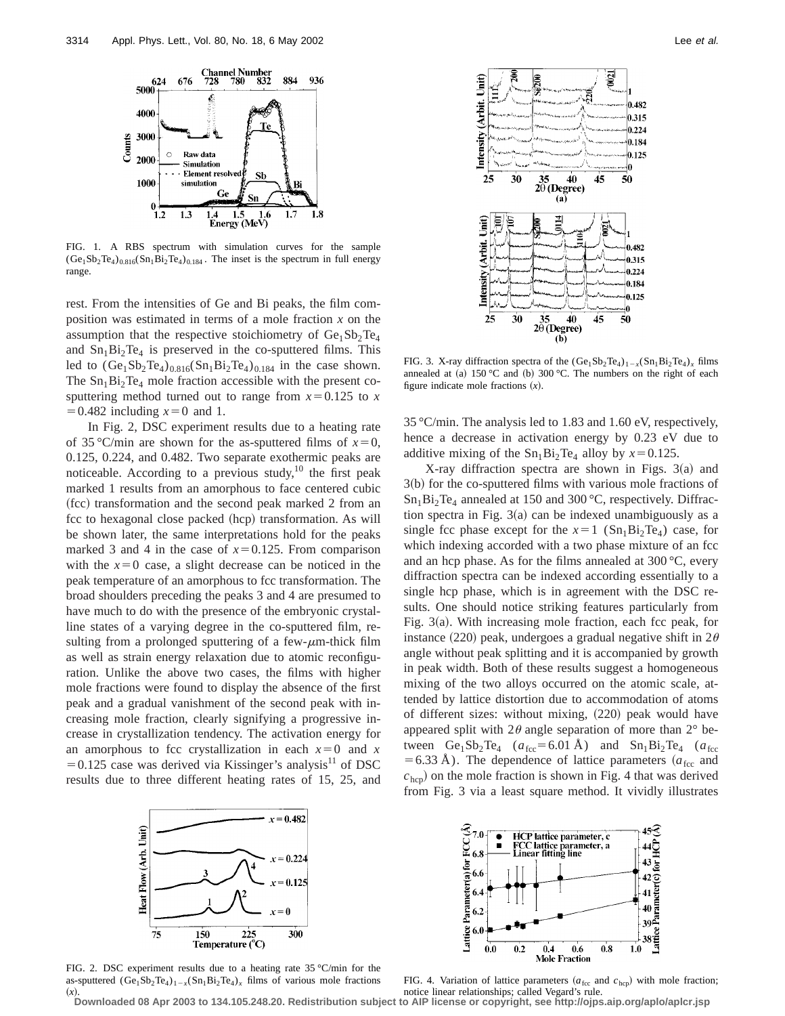

FIG. 1. A RBS spectrum with simulation curves for the sample  $(Ge_1Sb_2Te_4)_{0.816}(Sn_1Bi_2Te_4)_{0.184}$ . The inset is the spectrum in full energy range.

rest. From the intensities of Ge and Bi peaks, the film composition was estimated in terms of a mole fraction *x* on the assumption that the respective stoichiometry of  $Ge_1Sb_2Te_4$ and  $Sn_1Bi_2Te_4$  is preserved in the co-sputtered films. This led to  $(Ge_1Sb_2Te_4)_{0.816}(Sn_1Bi_2Te_4)_{0.184}$  in the case shown. The  $Sn<sub>1</sub>Bi<sub>2</sub>Te<sub>4</sub>$  mole fraction accessible with the present cosputtering method turned out to range from  $x=0.125$  to  $x = 0.125$  $=0.482$  including  $x=0$  and 1.

In Fig. 2, DSC experiment results due to a heating rate of 35 °C/min are shown for the as-sputtered films of  $x=0$ , 0.125, 0.224, and 0.482. Two separate exothermic peaks are noticeable. According to a previous study, $^{10}$  the first peak marked 1 results from an amorphous to face centered cubic (fcc) transformation and the second peak marked 2 from an fcc to hexagonal close packed (hcp) transformation. As will be shown later, the same interpretations hold for the peaks marked 3 and 4 in the case of  $x=0.125$ . From comparison with the  $x=0$  case, a slight decrease can be noticed in the peak temperature of an amorphous to fcc transformation. The broad shoulders preceding the peaks 3 and 4 are presumed to have much to do with the presence of the embryonic crystalline states of a varying degree in the co-sputtered film, resulting from a prolonged sputtering of a few- $\mu$ m-thick film as well as strain energy relaxation due to atomic reconfiguration. Unlike the above two cases, the films with higher mole fractions were found to display the absence of the first peak and a gradual vanishment of the second peak with increasing mole fraction, clearly signifying a progressive increase in crystallization tendency. The activation energy for an amorphous to fcc crystallization in each  $x=0$  and x  $=0.125$  case was derived via Kissinger's analysis<sup>11</sup> of DSC results due to three different heating rates of 15, 25, and



 $= 0.125$ 

300

 $x=0$ 

225

 $|0.315$  $|0.224$ 

 $\frac{35}{20} \frac{40}{(\text{Degree})}$ 

 $(a)$ 

Intensity (Arbit. Unit)

25

見

Ĕ

Intensity (Arbit,

25

30

30



 $\frac{35}{20}$  (Degree)

 $(b)$ 

35 °C/min. The analysis led to 1.83 and 1.60 eV, respectively, hence a decrease in activation energy by 0.23 eV due to additive mixing of the  $Sn_1Bi_2Te_4$  alloy by  $x=0.125$ .

X-ray diffraction spectra are shown in Figs.  $3(a)$  and  $3(b)$  for the co-sputtered films with various mole fractions of  $Sn<sub>1</sub>Bi<sub>2</sub>Te<sub>4</sub>$  annealed at 150 and 300 °C, respectively. Diffraction spectra in Fig.  $3(a)$  can be indexed unambiguously as a single fcc phase except for the  $x=1$  (Sn<sub>1</sub>Bi<sub>2</sub>Te<sub>4</sub>) case, for which indexing accorded with a two phase mixture of an fcc and an hcp phase. As for the films annealed at 300 °C, every diffraction spectra can be indexed according essentially to a single hcp phase, which is in agreement with the DSC results. One should notice striking features particularly from Fig.  $3(a)$ . With increasing mole fraction, each fcc peak, for instance (220) peak, undergoes a gradual negative shift in  $2\theta$ angle without peak splitting and it is accompanied by growth in peak width. Both of these results suggest a homogeneous mixing of the two alloys occurred on the atomic scale, attended by lattice distortion due to accommodation of atoms of different sizes: without mixing,  $(220)$  peak would have appeared split with  $2\theta$  angle separation of more than  $2^{\circ}$  between  $Ge_1Sb_2Te_4$  ( $a_{fcc}=6.01$  Å) and  $Sn_1Bi_2Te_4$  ( $a_{fcc}$  $=6.33$  Å). The dependence of lattice parameters ( $a_{\text{fcc}}$  and  $c<sub>hcp</sub>$  on the mole fraction is shown in Fig. 4 that was derived from Fig. 3 via a least square method. It vividly illustrates



 $0.482$ 

0.315  $0.224$ 

0.184

 $0.125$ 

0.482

 $-0.184$  $-0.125$ -∤Ո

50

40

50

45

45



Temperature (°C)

150

Heat Flow (Arb. Unit)

 $75$ 

~*x*!. notice linear relationships; called Vegard's rule. **Downloaded 08 Apr 2003 to 134.105.248.20. Redistribution subject to AIP license or copyright, see http://ojps.aip.org/aplo/aplcr.jsp**

FIG. 4. Variation of lattice parameters  $(a_{\text{fcc}} \text{ and } c_{\text{hcp}})$  with mole fraction; notice linear relationships; called Vegard's rule.